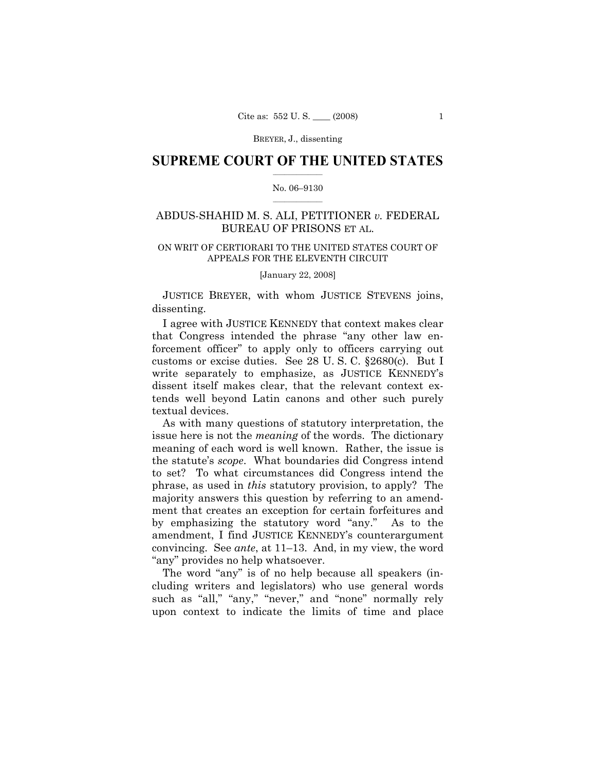## **SUPREME COURT OF THE UNITED STATES**  $\frac{1}{2}$  ,  $\frac{1}{2}$  ,  $\frac{1}{2}$  ,  $\frac{1}{2}$  ,  $\frac{1}{2}$  ,  $\frac{1}{2}$  ,  $\frac{1}{2}$

### No. 06–9130  $\frac{1}{2}$  ,  $\frac{1}{2}$  ,  $\frac{1}{2}$  ,  $\frac{1}{2}$  ,  $\frac{1}{2}$  ,  $\frac{1}{2}$

# ABDUS-SHAHID M. S. ALI, PETITIONER *v.* FEDERAL BUREAU OF PRISONS ET AL.

# ON WRIT OF CERTIORARI TO THE UNITED STATES COURT OF APPEALS FOR THE ELEVENTH CIRCUIT

[January 22, 2008]

 JUSTICE BREYER, with whom JUSTICE STEVENS joins, dissenting.

 I agree with JUSTICE KENNEDY that context makes clear that Congress intended the phrase "any other law enforcement officer" to apply only to officers carrying out customs or excise duties. See 28 U. S. C. §2680(c). But I write separately to emphasize, as JUSTICE KENNEDY's dissent itself makes clear, that the relevant context extends well beyond Latin canons and other such purely textual devices.

 As with many questions of statutory interpretation, the issue here is not the *meaning* of the words. The dictionary meaning of each word is well known. Rather, the issue is the statute's *scope*. What boundaries did Congress intend to set? To what circumstances did Congress intend the phrase, as used in *this* statutory provision, to apply? The majority answers this question by referring to an amendment that creates an exception for certain forfeitures and by emphasizing the statutory word "any." As to the amendment, I find JUSTICE KENNEDY's counterargument convincing. See *ante*, at 11–13. And, in my view, the word "any" provides no help whatsoever.

 The word "any" is of no help because all speakers (including writers and legislators) who use general words such as "all," "any," "never," and "none" normally rely upon context to indicate the limits of time and place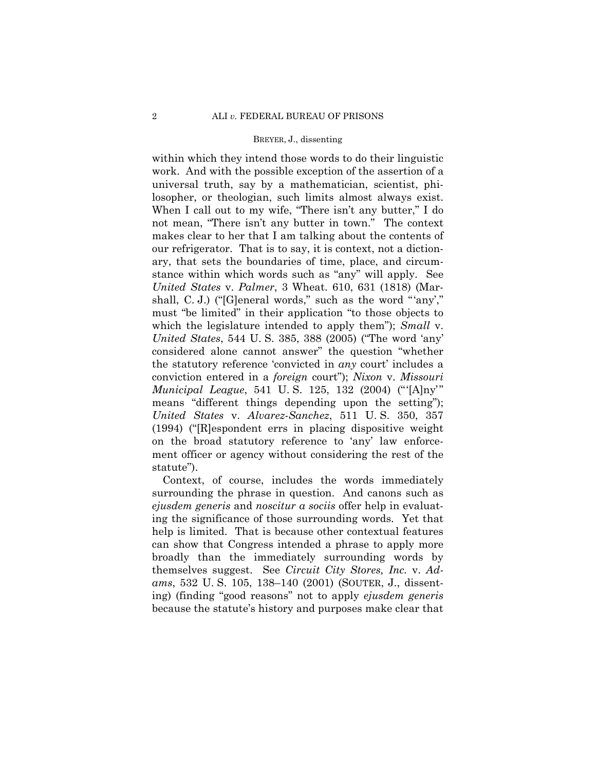within which they intend those words to do their linguistic work. And with the possible exception of the assertion of a universal truth, say by a mathematician, scientist, philosopher, or theologian, such limits almost always exist. When I call out to my wife, "There isn't any butter," I do not mean, "There isn't any butter in town." The context makes clear to her that I am talking about the contents of our refrigerator. That is to say, it is context, not a dictionary, that sets the boundaries of time, place, and circumstance within which words such as "any" will apply. See *United States* v. *Palmer*, 3 Wheat. 610, 631 (1818) (Marshall, C. J.) ("[G]eneral words," such as the word "'any'," must "be limited" in their application "to those objects to which the legislature intended to apply them"); *Small* v. *United States*, 544 U. S. 385, 388 (2005) ("The word 'any' considered alone cannot answer" the question "whether the statutory reference 'convicted in *any* court' includes a conviction entered in a *foreign* court"); *Nixon* v. *Missouri Municipal League*, 541 U. S. 125, 132 (2004) ("'[A]ny'" means "different things depending upon the setting"); *United States* v. *Alvarez-Sanchez*, 511 U. S. 350, 357 (1994) ("[R]espondent errs in placing dispositive weight on the broad statutory reference to 'any' law enforcement officer or agency without considering the rest of the statute").

 Context, of course, includes the words immediately surrounding the phrase in question. And canons such as *ejusdem generis* and *noscitur a sociis* offer help in evaluating the significance of those surrounding words. Yet that help is limited. That is because other contextual features can show that Congress intended a phrase to apply more broadly than the immediately surrounding words by themselves suggest. See *Circuit City Stores, Inc.* v. *Adams*, 532 U. S. 105, 138–140 (2001) (SOUTER, J., dissenting) (finding "good reasons" not to apply *ejusdem generis* because the statute's history and purposes make clear that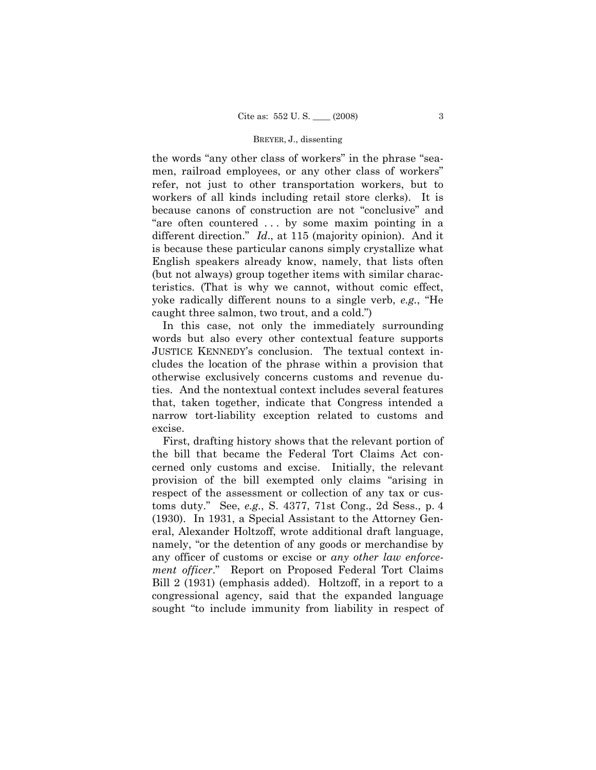the words "any other class of workers" in the phrase "seamen, railroad employees, or any other class of workers" refer, not just to other transportation workers, but to workers of all kinds including retail store clerks). It is because canons of construction are not "conclusive" and "are often countered . . . by some maxim pointing in a different direction." *Id*., at 115 (majority opinion). And it is because these particular canons simply crystallize what English speakers already know, namely, that lists often (but not always) group together items with similar characteristics. (That is why we cannot, without comic effect, yoke radically different nouns to a single verb, *e.g.*, "He caught three salmon, two trout, and a cold.")

 In this case, not only the immediately surrounding words but also every other contextual feature supports JUSTICE KENNEDY's conclusion. The textual context includes the location of the phrase within a provision that otherwise exclusively concerns customs and revenue duties. And the nontextual context includes several features that, taken together, indicate that Congress intended a narrow tort-liability exception related to customs and excise.

 First, drafting history shows that the relevant portion of the bill that became the Federal Tort Claims Act concerned only customs and excise. Initially, the relevant provision of the bill exempted only claims "arising in respect of the assessment or collection of any tax or customs duty." See, *e.g.*, S. 4377, 71st Cong., 2d Sess., p. 4 (1930). In 1931, a Special Assistant to the Attorney General, Alexander Holtzoff, wrote additional draft language, namely, "or the detention of any goods or merchandise by any officer of customs or excise or *any other law enforcement officer*." Report on Proposed Federal Tort Claims Bill 2 (1931) (emphasis added). Holtzoff, in a report to a congressional agency, said that the expanded language sought "to include immunity from liability in respect of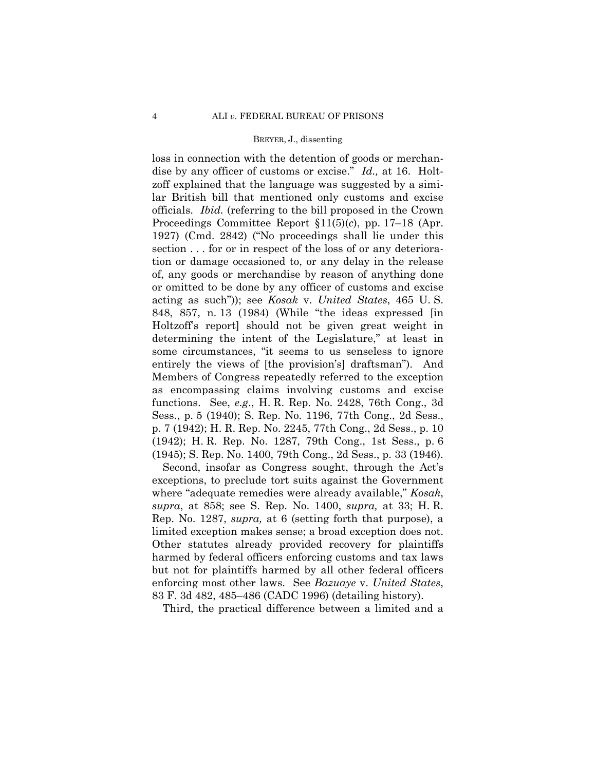loss in connection with the detention of goods or merchandise by any officer of customs or excise." *Id.,* at 16. Holtzoff explained that the language was suggested by a similar British bill that mentioned only customs and excise officials. *Ibid.* (referring to the bill proposed in the Crown Proceedings Committee Report §11(5)(*c*), pp. 17–18 (Apr. 1927) (Cmd. 2842) ("No proceedings shall lie under this section . . . for or in respect of the loss of or any deterioration or damage occasioned to, or any delay in the release of, any goods or merchandise by reason of anything done or omitted to be done by any officer of customs and excise acting as such")); see *Kosak* v. *United States*, 465 U. S. 848, 857, n. 13 (1984) (While "the ideas expressed [in Holtzoff's report] should not be given great weight in determining the intent of the Legislature," at least in some circumstances, "it seems to us senseless to ignore entirely the views of [the provision's] draftsman"). And Members of Congress repeatedly referred to the exception as encompassing claims involving customs and excise functions. See, *e.g*., H. R. Rep. No. 2428, 76th Cong., 3d Sess., p. 5 (1940); S. Rep. No. 1196, 77th Cong., 2d Sess., p. 7 (1942); H. R. Rep. No. 2245, 77th Cong., 2d Sess., p. 10 (1942); H. R. Rep. No. 1287, 79th Cong., 1st Sess., p. 6 (1945); S. Rep. No. 1400, 79th Cong., 2d Sess., p. 33 (1946).

 Second, insofar as Congress sought, through the Act's exceptions, to preclude tort suits against the Government where "adequate remedies were already available," *Kosak*, *supra*, at 858; see S. Rep. No. 1400, *supra,* at 33; H. R. Rep. No. 1287, *supra,* at 6 (setting forth that purpose), a limited exception makes sense; a broad exception does not. Other statutes already provided recovery for plaintiffs harmed by federal officers enforcing customs and tax laws but not for plaintiffs harmed by all other federal officers enforcing most other laws. See *Bazuaye* v. *United States*, 83 F. 3d 482, 485–486 (CADC 1996) (detailing history).

Third, the practical difference between a limited and a